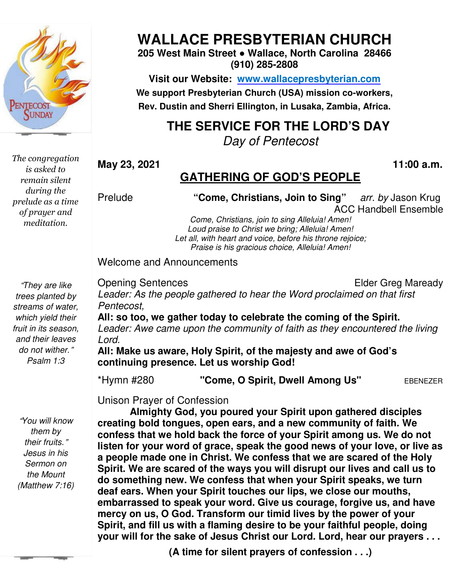

**WALLACE WALLACE PRESBYTERIAN CHURCH**

**205 West Main Main Street ● Wallace, North Carolina 28466 (910) 285-2808** 

**Visit our Website: Website: www.wallacepresbyterian.com We support Presbyterian Presbyterian Church (USA) mission co-workers, Rev. Dustin and and Sherri Ellington, in Lusaka, Zambia, Africa.** 

# **THE SERVICE FOR THE LORD'S DAY**

*Day of Pentecost* 

*The congregation is asked to remain silent during the prelude as a time of prayer and meditation.* 

**May 23, 2021** 

#### **GATHERING GATHERING OF GOD'S PEOPLE 11:00**

Prelude **"Come, Christians, Join to Sing"** *arr. by* Jason Krug ACC Handbell Ensemble

> *Come, Come, Christians, join to sing Alleluia! Amen! Loud Loud praise to Christ we bring; Alleluia! Amen! Let all, with with heart and voice, before his throne rejoice; Praise Praise is his gracious choice, Alleluia! Amen!*

Welcome and Announcements Announcements

Opening Sentences

Elder Greg Maready

Leader: As the people gathered to hear the Word proclaimed on that first *Pentecost,* 

All: so too, we gather today to celebrate the coming of the Spirit. Leader: Awe came upon the community of faith as they encountered the living *Lord.* 

**All: Make us aware, Holy Holy Spirit, of the majesty and awe of God's continuing presence. Let Let us worship God!** 

\*Hymn #280 **"Come,**

**"Come, O Spirit, Dwell Among Us"** EBENEZER

**11:00 a.m.** 

Unison Prayer of Confession

**Almighty God, you you poured your Spirit upon gathered disciples creating bold tongues, open ears, and a new community of faith. We** confess that we hold back the force of your Spirit among us. We do not listen for your word of grace, speak the good news of your love, or live as a people made one in Christ. We confess that we are scared of the Holy Spirit. We are scared of the ways you will disrupt our lives and call us to **do something new. We confess that when your Spirit speaks, we turn deaf ears. When your Spirit Spirit touches our lips, we close our mouths, embarrassed to speak your your word. Give us courage, forgive us, and have mercy on us, O God. Transform Transform our timid lives by the power of your Spirit, and fill us with a flaming desire to be your faithful people, doing your will for the sake of Jesus Christ our Lord. Lord, hear our prayers . . .** 

**(A time for silent prayers of confession . . .)** 

"*They are like trees planted by streams of water, which yield their fruit in its season, and their leaves do not wither.*" *Psalm 1:3* 

"*You will know them by their fruits.*" *Jesus in his Sermon on the Mount (Matthew 7:16)*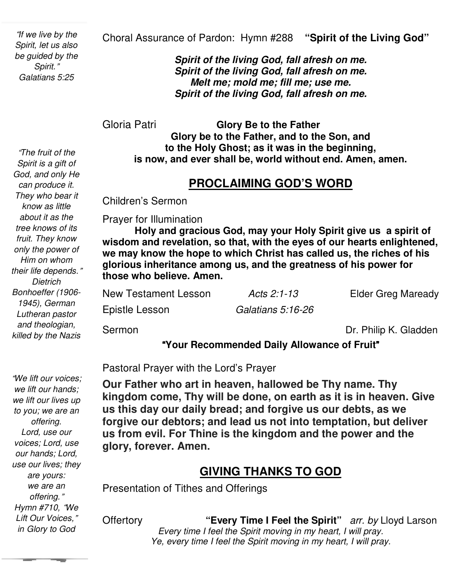"*If we live by the Spirit, let us also be guided by the Spirit.*" *Galatians 5:25* 

Choral Assurance of Pardon: Hymn #288 **"Spirit of the Living God"** 

**Spirit of the living God, fall afresh on me. Spirit of the living God, fall afresh on me. Melt me; mold me; fill me; use me. Spirit of the living God, fall afresh on me.** 

Gloria Patri **Glory Be to the Father Glory be to the Father, and to the Son, and to the Holy Ghost; as it was in the beginning, is now, and ever shall be, world without end. Amen, amen.** 

#### **PROCLAIMING GOD'S WORD**

Children's Sermon

Prayer for Illumination

**Holy and gracious God, may your Holy Spirit give us a spirit of wisdom and revelation, so that, with the eyes of our hearts enlightened, we may know the hope to which Christ has called us, the riches of his glorious inheritance among us, and the greatness of his power for those who believe. Amen.** 

New Testament Lesson *Acts 2:1-13* Elder Greg Maready Epistle Lesson *Galatians 5:16-26* 

Sermon **Dr. Philip K. Gladden** 

"**Your Recommended Daily Allowance of Fruit**"

Pastoral Prayer with the Lord's Prayer

**Our Father who art in heaven, hallowed be Thy name. Thy kingdom come, Thy will be done, on earth as it is in heaven. Give us this day our daily bread; and forgive us our debts, as we forgive our debtors; and lead us not into temptation, but deliver us from evil. For Thine is the kingdom and the power and the glory, forever. Amen.** 

### **GIVING THANKS TO GOD**

Presentation of Tithes and Offerings

Offertory **"Every Time I Feel the Spirit"** *arr. by* Lloyd Larson *Every time I feel the Spirit moving in my heart, I will pray. Ye, every time I feel the Spirit moving in my heart, I will pray.*

"*The fruit of the Spirit is a gift of God, and only He can produce it. They who bear it know as little about it as the tree knows of its fruit. They know only the power of Him on whom their life depends.*" *Dietrich Bonhoeffer (1906- 1945), German Lutheran pastor and theologian, killed by the Nazis* 

"*We lift our voices; we lift our hands; we lift our lives up to you; we are an offering. Lord, use our voices; Lord, use our hands; Lord, use our lives; they are yours: we are an offering.*" *Hymn #710,* "*We Lift Our Voices,*" *in Glory to God*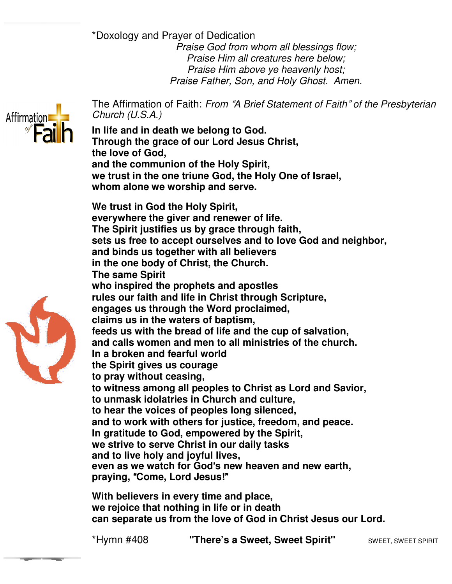\*Doxology and Prayer of Dedication

*Praise God from whom all blessings flow; Praise Praise Him all creatures here below; Praise Praise Him above ye heavenly host; Praise Father, Father, Son, and Holy Ghost. Amen.* 



The Affirmation of Faith: *From* "*A Brief Statement of Faith*" *of the Presbyterian Church (U.S.A.)* 

and the communion of the Holy Spirit, we trust in the one triune God, the Holy One of Israel, In life and in death we belong to God. **Through the grace of our our Lord Jesus Christ, the love of God,**  whom alone we worship and serve.

 **sets us free to accept ourselves ourselves and to love God and neighbor, we strive to serve Christ Christ in our daily tasks We trust in God the Holy Holy Spirit, everywhere the giver and and renewer of life. The Spirit justifies us by by grace through faith, and binds us together with with all believers**  in the one body of Christ, the Church. **The same Spirit who inspired the prophets prophets and apostles rules our faith and life in in Christ through Scripture, engages us through the Word proclaimed, claims us in the waters of of baptism, feeds us with the bread of of life and the cup of salvation, and calls women and men men to all ministries of the church. In a broken and fearful world the Spirit gives us courage to pray without ceasing, to witness among all peoples peoples to Christ as Lord and Savior, to unmask idolatries in Church Church and culture, to hear the voices of peoples peoples long silenced, and to work with others for justice, freedom, and peace. In gratitude to God, empowered empowered by the Spirit, and to live holy and joyful joyful lives, even as we watch for God** '**s new heaven and new earth, praying,** "**Come, Lord Jesus!** "

**With believers in every time time and place, we rejoice that nothing in in life or in death can separate us from the the love of God in Christ Jesus our Lord.** 

\*Hymn #408 **"There's** "There's a Sweet, Sweet Spirit"